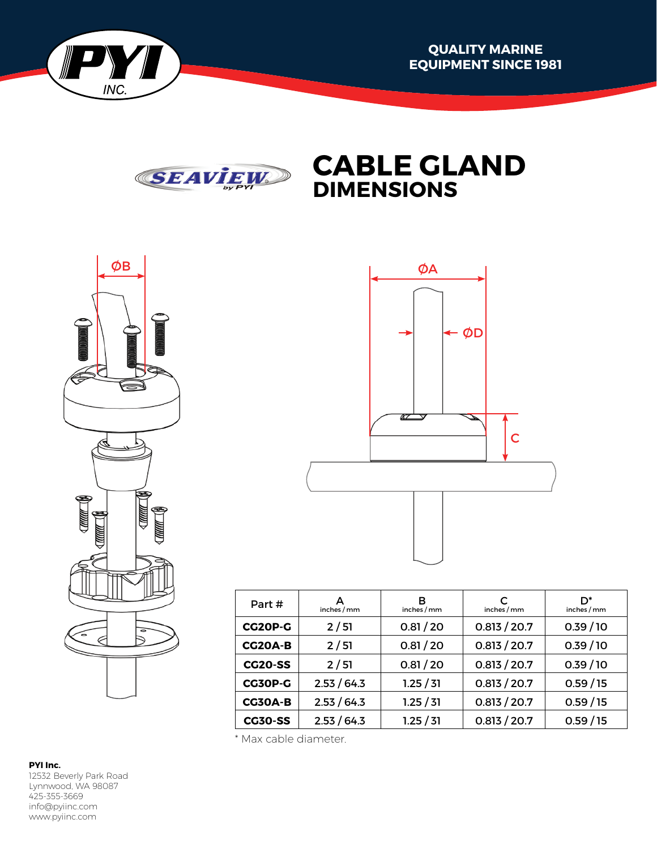







| Part#          | А<br>inches / mm | в<br>inches / mm | inches / mm  | ת*<br>inches / mm |  |
|----------------|------------------|------------------|--------------|-------------------|--|
| CG20P-G        | 2/51             | 0.81 / 20        | 0.813 / 20.7 | 0.39/10           |  |
| CG20A-B        | 2/51             | 0.81 / 20        | 0.813 / 20.7 | 0.39/10           |  |
| <b>CG20-SS</b> | 2/51             | 0.81 / 20        | 0.813 / 20.7 | 0.39/10           |  |
| <b>CG30P-G</b> | 2.53 / 64.3      | 1.25 / 31        | 0.813 / 20.7 | 0.59/15           |  |
| <b>CG30A-B</b> | 2.53 / 64.3      | 1.25 / 31        | 0.813 / 20.7 | 0.59/15           |  |
| <b>CG30-SS</b> | 2.53 / 64.3      | 1.25 / 31        | 0.813 / 20.7 | 0.59/15           |  |

\* Max cable diameter.

## **PYI Inc.**

12532 Beverly Park Road Lynnwood, WA 98087 425-355-3669 info@pyiinc.com www.pyiinc.com